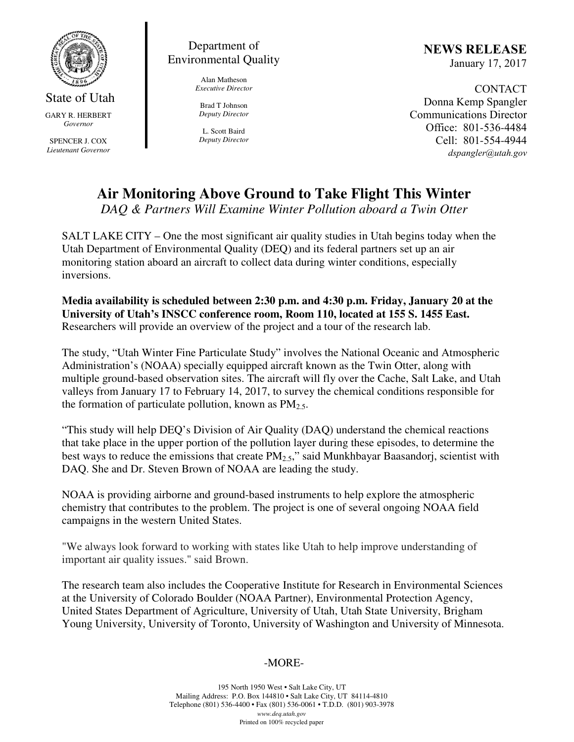

State of Utah GARY R. HERBERT *Governor* 

SPENCER J. COX *Lieutenant Governor* 

### Department of Environmental Quality

Alan Matheson *Executive Director* 

Brad T Johnson *Deputy Director* 

L. Scott Baird *Deputy Director* NEWS RELEASE January 17, 2017

CONTACT Donna Kemp Spangler Communications Director Office: 801-536-4484 Cell: 801-554-4944 dspangler@utah.gov

# **Air Monitoring Above Ground to Take Flight This Winter**

*DAQ & Partners Will Examine Winter Pollution aboard a Twin Otter* 

SALT LAKE CITY – One the most significant air quality studies in Utah begins today when the Utah Department of Environmental Quality (DEQ) and its federal partners set up an air monitoring station aboard an aircraft to collect data during winter conditions, especially inversions.

**Media availability is scheduled between 2:30 p.m. and 4:30 p.m. Friday, January 20 at the University of Utah's INSCC conference room, Room 110, located at 155 S. 1455 East.**  Researchers will provide an overview of the project and a tour of the research lab.

The study, "Utah Winter Fine Particulate Study" involves the National Oceanic and Atmospheric Administration's (NOAA) specially equipped aircraft known as the Twin Otter, along with multiple ground-based observation sites. The aircraft will fly over the Cache, Salt Lake, and Utah valleys from January 17 to February 14, 2017, to survey the chemical conditions responsible for the formation of particulate pollution, known as  $PM_{2.5}$ .

"This study will help DEQ's Division of Air Quality (DAQ) understand the chemical reactions that take place in the upper portion of the pollution layer during these episodes, to determine the best ways to reduce the emissions that create  $PM_{2.5}$ ," said Munkhbayar Baasandorj, scientist with DAQ. She and Dr. Steven Brown of NOAA are leading the study.

NOAA is providing airborne and ground-based instruments to help explore the atmospheric chemistry that contributes to the problem. The project is one of several ongoing NOAA field campaigns in the western United States.

"We always look forward to working with states like Utah to help improve understanding of important air quality issues." said Brown.

The research team also includes the Cooperative Institute for Research in Environmental Sciences at the University of Colorado Boulder (NOAA Partner), Environmental Protection Agency, United States Department of Agriculture, University of Utah, Utah State University, Brigham Young University, University of Toronto, University of Washington and University of Minnesota.

## -MORE-

195 North 1950 West • Salt Lake City, UT Mailing Address: P.O. Box 144810 • Salt Lake City, UT 84114-4810 Telephone (801) 536-4400 • Fax (801) 536-0061 • T.D.D. (801) 903-3978 *www.deq.utah.gov*  Printed on 100% recycled paper